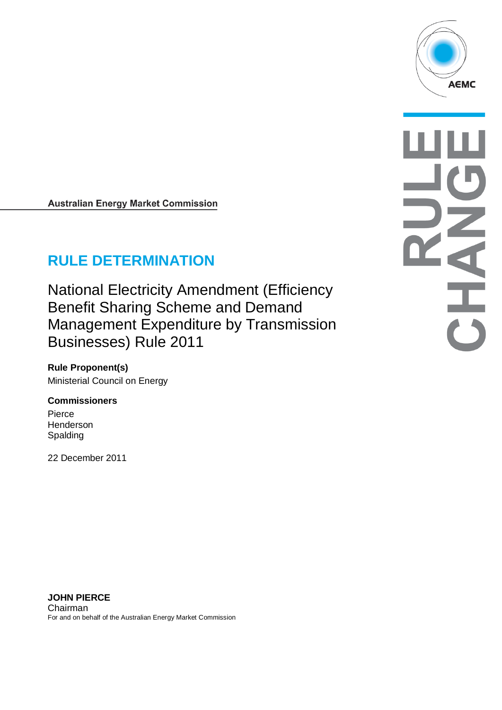

# **RULE DETERMINATION**

National Electricity Amendment (Efficiency Benefit Sharing Scheme and Demand Management Expenditure by Transmission Businesses) Rule 2011

**Rule Proponent(s)** Ministerial Council on Energy

#### **Commissioners**

Pierce Henderson Spalding

22 December 2011



**JOHN PIERCE** Chairman For and on behalf of the Australian Energy Market Commission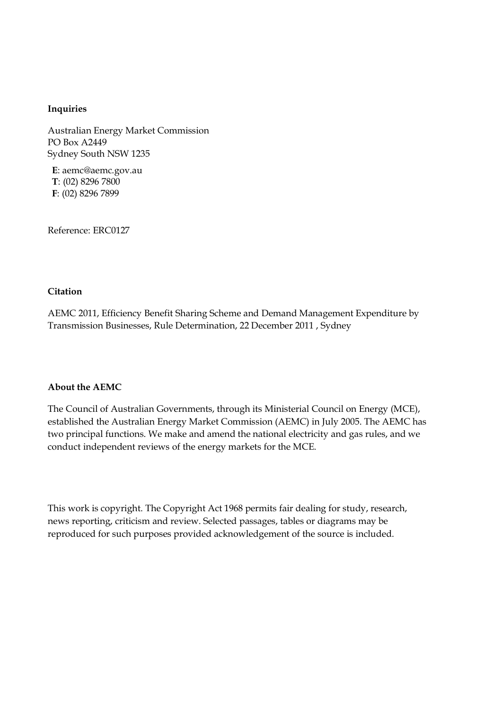#### **Inquiries**

Australian Energy Market Commission PO Box A2449 Sydney South NSW 1235

**E**: aemc@aemc.gov.au **T**: (02) 8296 7800 **F**: (02) 8296 7899

Reference: ERC0127

#### **Citation**

AEMC 2011, Efficiency Benefit Sharing Scheme and Demand Management Expenditure by Transmission Businesses, Rule Determination, 22 December 2011 , Sydney

#### **About the AEMC**

The Council of Australian Governments, through its Ministerial Council on Energy (MCE), established the Australian Energy Market Commission (AEMC) in July 2005. The AEMC has two principal functions. We make and amend the national electricity and gas rules, and we conduct independent reviews of the energy markets for the MCE.

This work is copyright. The Copyright Act 1968 permits fair dealing for study, research, news reporting, criticism and review. Selected passages, tables or diagrams may be reproduced for such purposes provided acknowledgement of the source is included.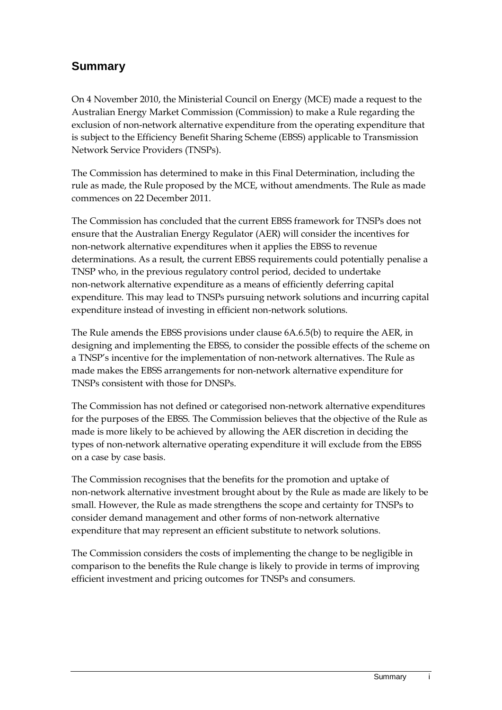## **Summary**

On 4 November 2010, the Ministerial Council on Energy (MCE) made a request to the Australian Energy Market Commission (Commission) to make a Rule regarding the exclusion of non-network alternative expenditure from the operating expenditure that is subject to the Efficiency Benefit Sharing Scheme (EBSS) applicable to Transmission Network Service Providers (TNSPs).

The Commission has determined to make in this Final Determination, including the rule as made, the Rule proposed by the MCE, without amendments. The Rule as made commences on 22 December 2011.

The Commission has concluded that the current EBSS framework for TNSPs does not ensure that the Australian Energy Regulator (AER) will consider the incentives for non-network alternative expenditures when it applies the EBSS to revenue determinations. As a result, the current EBSS requirements could potentially penalise a TNSP who, in the previous regulatory control period, decided to undertake non-network alternative expenditure as a means of efficiently deferring capital expenditure. This may lead to TNSPs pursuing network solutions and incurring capital expenditure instead of investing in efficient non-network solutions.

The Rule amends the EBSS provisions under clause 6A.6.5(b) to require the AER, in designing and implementing the EBSS, to consider the possible effects of the scheme on a TNSP's incentive for the implementation of non-network alternatives. The Rule as made makes the EBSS arrangements for non-network alternative expenditure for TNSPs consistent with those for DNSPs.

The Commission has not defined or categorised non-network alternative expenditures for the purposes of the EBSS. The Commission believes that the objective of the Rule as made is more likely to be achieved by allowing the AER discretion in deciding the types of non-network alternative operating expenditure it will exclude from the EBSS on a case by case basis.

The Commission recognises that the benefits for the promotion and uptake of non-network alternative investment brought about by the Rule as made are likely to be small. However, the Rule as made strengthens the scope and certainty for TNSPs to consider demand management and other forms of non-network alternative expenditure that may represent an efficient substitute to network solutions.

The Commission considers the costs of implementing the change to be negligible in comparison to the benefits the Rule change is likely to provide in terms of improving efficient investment and pricing outcomes for TNSPs and consumers.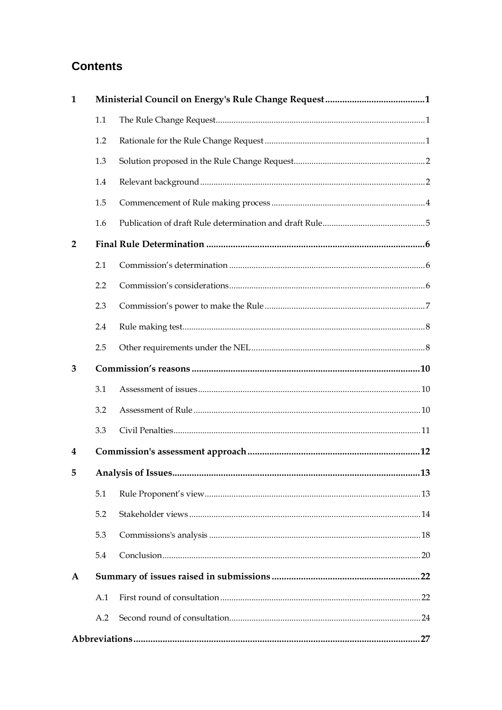## **Contents**

| $\mathbf{1}$   |     |  |  |  |
|----------------|-----|--|--|--|
|                | 1.1 |  |  |  |
|                | 1.2 |  |  |  |
|                | 1.3 |  |  |  |
|                | 1.4 |  |  |  |
|                | 1.5 |  |  |  |
|                | 1.6 |  |  |  |
| $\overline{2}$ |     |  |  |  |
|                | 2.1 |  |  |  |
|                | 2.2 |  |  |  |
|                | 2.3 |  |  |  |
|                | 2.4 |  |  |  |
|                | 2.5 |  |  |  |
| 3              |     |  |  |  |
|                | 3.1 |  |  |  |
|                | 3.2 |  |  |  |
|                | 3.3 |  |  |  |
| 4              |     |  |  |  |
| 5 <sub>1</sub> |     |  |  |  |
|                | 5.1 |  |  |  |
|                | 5.2 |  |  |  |
|                | 5.3 |  |  |  |
|                | 5.4 |  |  |  |
| A              |     |  |  |  |
|                | A.1 |  |  |  |
|                | A.2 |  |  |  |
|                |     |  |  |  |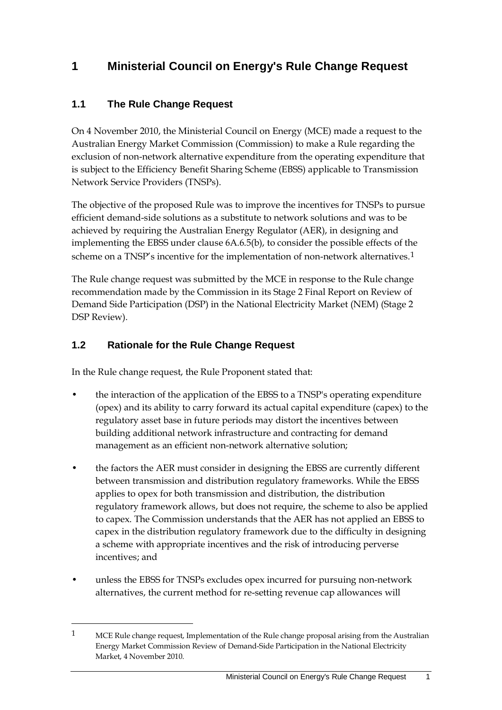## <span id="page-4-0"></span>**1 Ministerial Council on Energy's Rule Change Request**

## <span id="page-4-1"></span>**1.1 The Rule Change Request**

On 4 November 2010, the Ministerial Council on Energy (MCE) made a request to the Australian Energy Market Commission (Commission) to make a Rule regarding the exclusion of non-network alternative expenditure from the operating expenditure that is subject to the Efficiency Benefit Sharing Scheme (EBSS) applicable to Transmission Network Service Providers (TNSPs).

The objective of the proposed Rule was to improve the incentives for TNSPs to pursue efficient demand-side solutions as a substitute to network solutions and was to be achieved by requiring the Australian Energy Regulator (AER), in designing and implementing the EBSS under clause 6A.6.5(b), to consider the possible effects of the scheme on a TNSP's incentive for the implementation of non-network alternatives.[1](#page-4-3)

The Rule change request was submitted by the MCE in response to the Rule change recommendation made by the Commission in its Stage 2 Final Report on Review of Demand Side Participation (DSP) in the National Electricity Market (NEM) (Stage 2 DSP Review).

## <span id="page-4-2"></span>**1.2 Rationale for the Rule Change Request**

 $\overline{a}$ 

In the Rule change request, the Rule Proponent stated that:

- the interaction of the application of the EBSS to a TNSP's operating expenditure (opex) and its ability to carry forward its actual capital expenditure (capex) to the regulatory asset base in future periods may distort the incentives between building additional network infrastructure and contracting for demand management as an efficient non-network alternative solution;
- the factors the AER must consider in designing the EBSS are currently different between transmission and distribution regulatory frameworks. While the EBSS applies to opex for both transmission and distribution, the distribution regulatory framework allows, but does not require, the scheme to also be applied to capex. The Commission understands that the AER has not applied an EBSS to capex in the distribution regulatory framework due to the difficulty in designing a scheme with appropriate incentives and the risk of introducing perverse incentives; and
- unless the EBSS for TNSPs excludes opex incurred for pursuing non-network alternatives, the current method for re-setting revenue cap allowances will

<span id="page-4-3"></span><sup>1</sup> MCE Rule change request, Implementation of the Rule change proposal arising from the Australian Energy Market Commission Review of Demand-Side Participation in the National Electricity Market, 4 November 2010.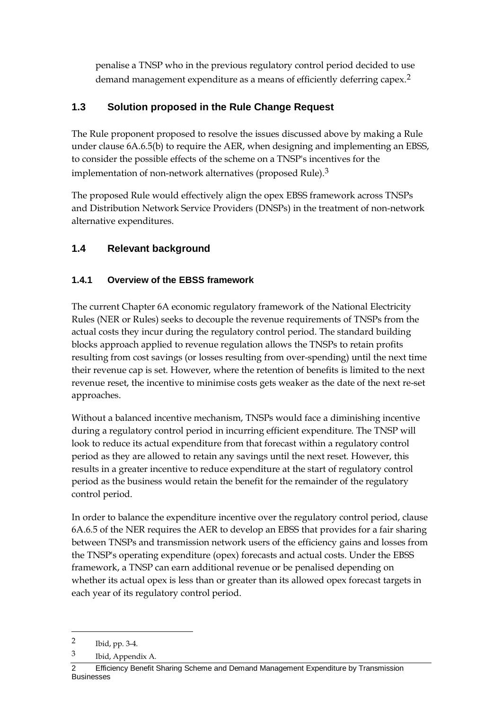penalise a TNSP who in the previous regulatory control period decided to use demand management expenditure as a means of efficiently deferring capex.<sup>[2](#page-5-2)</sup>

## <span id="page-5-0"></span>**1.3 Solution proposed in the Rule Change Request**

The Rule proponent proposed to resolve the issues discussed above by making a Rule under clause 6A.6.5(b) to require the AER, when designing and implementing an EBSS, to consider the possible effects of the scheme on a TNSP's incentives for the implementation of non-network alternatives (proposed Rule).[3](#page-5-3)

The proposed Rule would effectively align the opex EBSS framework across TNSPs and Distribution Network Service Providers (DNSPs) in the treatment of non-network alternative expenditures.

## <span id="page-5-1"></span>**1.4 Relevant background**

## **1.4.1 Overview of the EBSS framework**

The current Chapter 6A economic regulatory framework of the National Electricity Rules (NER or Rules) seeks to decouple the revenue requirements of TNSPs from the actual costs they incur during the regulatory control period. The standard building blocks approach applied to revenue regulation allows the TNSPs to retain profits resulting from cost savings (or losses resulting from over-spending) until the next time their revenue cap is set. However, where the retention of benefits is limited to the next revenue reset, the incentive to minimise costs gets weaker as the date of the next re-set approaches.

Without a balanced incentive mechanism, TNSPs would face a diminishing incentive during a regulatory control period in incurring efficient expenditure. The TNSP will look to reduce its actual expenditure from that forecast within a regulatory control period as they are allowed to retain any savings until the next reset. However, this results in a greater incentive to reduce expenditure at the start of regulatory control period as the business would retain the benefit for the remainder of the regulatory control period.

In order to balance the expenditure incentive over the regulatory control period, clause 6A.6.5 of the NER requires the AER to develop an EBSS that provides for a fair sharing between TNSPs and transmission network users of the efficiency gains and losses from the TNSP's operating expenditure (opex) forecasts and actual costs. Under the EBSS framework, a TNSP can earn additional revenue or be penalised depending on whether its actual opex is less than or greater than its allowed opex forecast targets in each year of its regulatory control period.

<span id="page-5-2"></span><sup>2</sup> Ibid, pp. 3-4.

<span id="page-5-3"></span><sup>3</sup> Ibid, Appendix A.

<sup>2</sup> Efficiency Benefit Sharing Scheme and Demand Management Expenditure by Transmission Businesses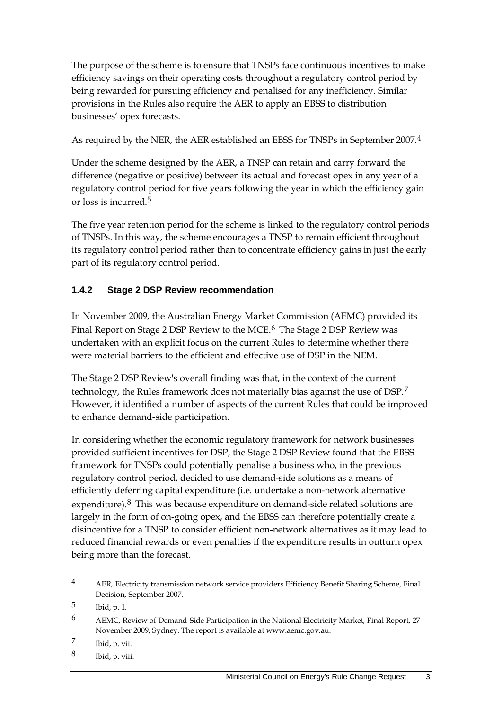The purpose of the scheme is to ensure that TNSPs face continuous incentives to make efficiency savings on their operating costs throughout a regulatory control period by being rewarded for pursuing efficiency and penalised for any inefficiency. Similar provisions in the Rules also require the AER to apply an EBSS to distribution businesses' opex forecasts.

As required by the NER, the AER established an EBSS for TNSPs in September 2007.[4](#page-6-0)

Under the scheme designed by the AER, a TNSP can retain and carry forward the difference (negative or positive) between its actual and forecast opex in any year of a regulatory control period for five years following the year in which the efficiency gain or loss is incurred.<sup>[5](#page-6-1)</sup>

The five year retention period for the scheme is linked to the regulatory control periods of TNSPs. In this way, the scheme encourages a TNSP to remain efficient throughout its regulatory control period rather than to concentrate efficiency gains in just the early part of its regulatory control period.

### **1.4.2 Stage 2 DSP Review recommendation**

In November 2009, the Australian Energy Market Commission (AEMC) provided its Final Report on Stage 2 DSP Review to the MCE.<sup>[6](#page-6-2)</sup> The Stage 2 DSP Review was undertaken with an explicit focus on the current Rules to determine whether there were material barriers to the efficient and effective use of DSP in the NEM.

The Stage 2 DSP Review's overall finding was that, in the context of the current technology, the Rules framework does not materially bias against the use of DSP.[7](#page-6-3) However, it identified a number of aspects of the current Rules that could be improved to enhance demand-side participation.

In considering whether the economic regulatory framework for network businesses provided sufficient incentives for DSP, the Stage 2 DSP Review found that the EBSS framework for TNSPs could potentially penalise a business who, in the previous regulatory control period, decided to use demand-side solutions as a means of efficiently deferring capital expenditure (i.e. undertake a non-network alternative expenditure).<sup>[8](#page-6-4)</sup> This was because expenditure on demand-side related solutions are largely in the form of on-going opex, and the EBSS can therefore potentially create a disincentive for a TNSP to consider efficient non-network alternatives as it may lead to reduced financial rewards or even penalties if the expenditure results in outturn opex being more than the forecast.

<span id="page-6-0"></span><sup>4</sup> AER, Electricity transmission network service providers Efficiency Benefit Sharing Scheme, Final Decision, September 2007.

<span id="page-6-1"></span><sup>5</sup> Ibid, p. 1.

<span id="page-6-2"></span><sup>6</sup> AEMC, Review of Demand-Side Participation in the National Electricity Market, Final Report, 27 November 2009, Sydney. The report is available at www.aemc.gov.au.

<span id="page-6-3"></span><sup>7</sup> Ibid, p. vii.

<span id="page-6-4"></span><sup>8</sup> Ibid, p. viii.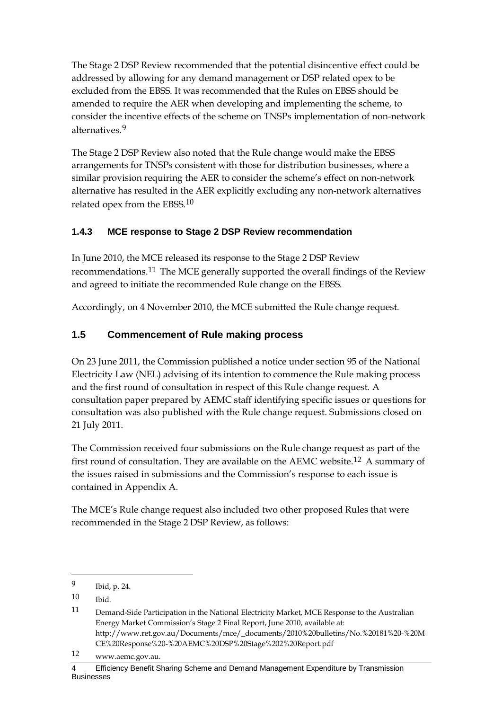The Stage 2 DSP Review recommended that the potential disincentive effect could be addressed by allowing for any demand management or DSP related opex to be excluded from the EBSS. It was recommended that the Rules on EBSS should be amended to require the AER when developing and implementing the scheme, to consider the incentive effects of the scheme on TNSPs implementation of non-network alternatives.[9](#page-7-1)

The Stage 2 DSP Review also noted that the Rule change would make the EBSS arrangements for TNSPs consistent with those for distribution businesses, where a similar provision requiring the AER to consider the scheme's effect on non-network alternative has resulted in the AER explicitly excluding any non-network alternatives related opex from the EBSS.[10](#page-7-2)

### **1.4.3 MCE response to Stage 2 DSP Review recommendation**

In June 2010, the MCE released its response to the Stage 2 DSP Review recommendations.[11](#page-7-3) The MCE generally supported the overall findings of the Review and agreed to initiate the recommended Rule change on the EBSS.

Accordingly, on 4 November 2010, the MCE submitted the Rule change request.

## <span id="page-7-0"></span>**1.5 Commencement of Rule making process**

On 23 June 2011, the Commission published a notice under section 95 of the National Electricity Law (NEL) advising of its intention to commence the Rule making process and the first round of consultation in respect of this Rule change request. A consultation paper prepared by AEMC staff identifying specific issues or questions for consultation was also published with the Rule change request. Submissions closed on 21 July 2011.

The Commission received four submissions on the Rule change request as part of the first round of consultation. They are available on the AEMC website.[12](#page-7-4) A summary of the issues raised in submissions and the Commission's response to each issue is contained in Appendix A.

The MCE's Rule change request also included two other proposed Rules that were recommended in the Stage 2 DSP Review, as follows:

<span id="page-7-1"></span><sup>9</sup> Ibid, p. 24.

<span id="page-7-2"></span><sup>10</sup> Ibid.

<span id="page-7-3"></span><sup>11</sup> Demand-Side Participation in the National Electricity Market, MCE Response to the Australian Energy Market Commission's Stage 2 Final Report, June 2010, available at: http://www.ret.gov.au/Documents/mce/\_documents/2010%20bulletins/No.%20181%20-%20M CE%20Response%20-%20AEMC%20DSP%20Stage%202%20Report.pdf

<span id="page-7-4"></span><sup>12</sup> www.aemc.gov.au.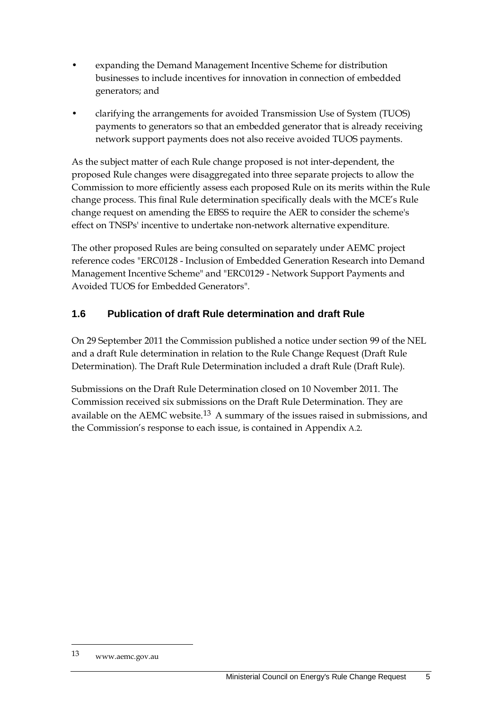- expanding the Demand Management Incentive Scheme for distribution businesses to include incentives for innovation in connection of embedded generators; and
- clarifying the arrangements for avoided Transmission Use of System (TUOS) payments to generators so that an embedded generator that is already receiving network support payments does not also receive avoided TUOS payments.

As the subject matter of each Rule change proposed is not inter-dependent, the proposed Rule changes were disaggregated into three separate projects to allow the Commission to more efficiently assess each proposed Rule on its merits within the Rule change process. This final Rule determination specifically deals with the MCE's Rule change request on amending the EBSS to require the AER to consider the scheme's effect on TNSPs' incentive to undertake non-network alternative expenditure.

The other proposed Rules are being consulted on separately under AEMC project reference codes "ERC0128 - Inclusion of Embedded Generation Research into Demand Management Incentive Scheme" and "ERC0129 - Network Support Payments and Avoided TUOS for Embedded Generators".

## <span id="page-8-0"></span>**1.6 Publication of draft Rule determination and draft Rule**

On 29 September 2011 the Commission published a notice under section 99 of the NEL and a draft Rule determination in relation to the Rule Change Request (Draft Rule Determination). The Draft Rule Determination included a draft Rule (Draft Rule).

Submissions on the Draft Rule Determination closed on 10 November 2011. The Commission received six submissions on the Draft Rule Determination. They are available on the AEMC website.[13](#page-8-1) A summary of the issues raised in submissions, and the Commission's response to each issue, is contained in Appendix [A.2.](#page-27-0)

<span id="page-8-1"></span><sup>13</sup> www.aemc.gov.au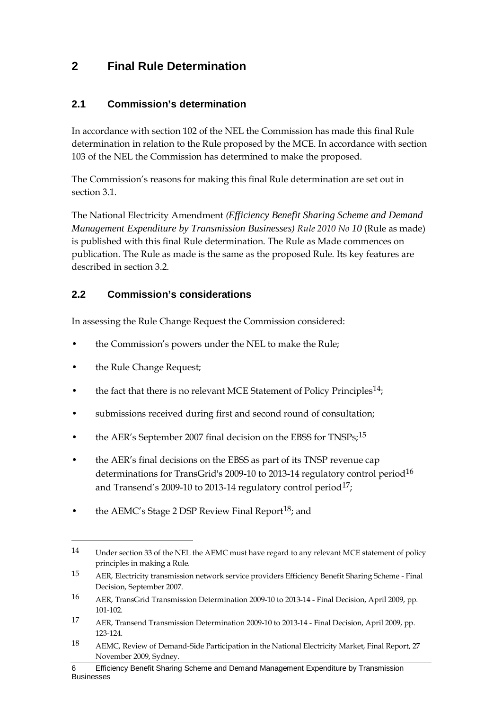## <span id="page-9-0"></span>**2 Final Rule Determination**

### <span id="page-9-1"></span>**2.1 Commission's determination**

In accordance with section 102 of the NEL the Commission has made this final Rule determination in relation to the Rule proposed by the MCE. In accordance with section 103 of the NEL the Commission has determined to make the proposed.

The Commission's reasons for making this final Rule determination are set out in section [3.1.](#page-13-1)

The National Electricity Amendment *(Efficiency Benefit Sharing Scheme and Demand Management Expenditure by Transmission Businesses) Rule 2010 No 10* (Rule as made) is published with this final Rule determination. The Rule as Made commences on publication. The Rule as made is the same as the proposed Rule. Its key features are described in section [3.2.](#page-13-2)

### <span id="page-9-2"></span>**2.2 Commission's considerations**

In assessing the Rule Change Request the Commission considered:

- the Commission's powers under the NEL to make the Rule;
- the Rule Change Request;

- the fact that there is no relevant MCE Statement of Policy Principles<sup>14</sup>;
- submissions received during first and second round of consultation;
- the AER's September 2007 final decision on the EBSS for TNSPs;<sup>[15](#page-9-4)</sup>
- the AER's final decisions on the EBSS as part of its TNSP revenue cap determinations for TransGrid's 2009-10 to 2013-14 regulatory control period[16](#page-9-5) and Transend's 2009-10 to 2013-14 regulatory control period<sup>[17](#page-9-6)</sup>;
- the AEMC's Stage 2 DSP Review Final Report<sup>[18](#page-9-7)</sup>; and

<span id="page-9-3"></span><sup>14</sup> Under section 33 of the NEL the AEMC must have regard to any relevant MCE statement of policy principles in making a Rule.

<span id="page-9-4"></span><sup>15</sup> AER, Electricity transmission network service providers Efficiency Benefit Sharing Scheme - Final Decision, September 2007.

<span id="page-9-5"></span><sup>16</sup> AER, TransGrid Transmission Determination 2009-10 to 2013-14 - Final Decision, April 2009, pp. 101-102.

<span id="page-9-6"></span><sup>17</sup> AER, Transend Transmission Determination 2009-10 to 2013-14 - Final Decision, April 2009, pp. 123-124.

<span id="page-9-7"></span><sup>18</sup> AEMC, Review of Demand-Side Participation in the National Electricity Market, Final Report, 27 November 2009, Sydney.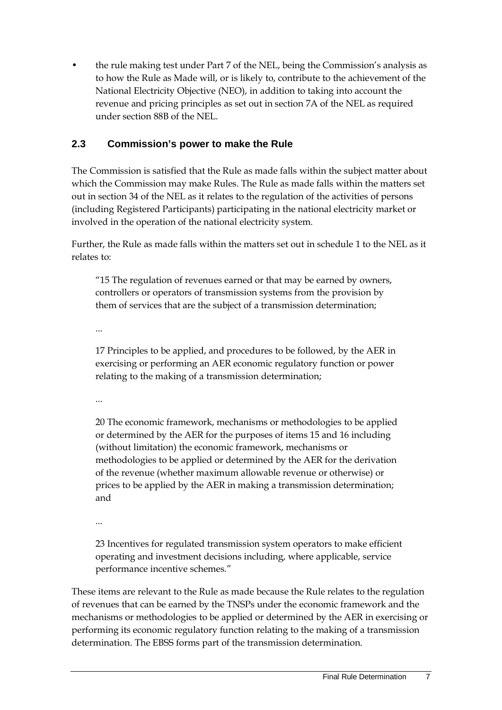• the rule making test under Part 7 of the NEL, being the Commission's analysis as to how the Rule as Made will, or is likely to, contribute to the achievement of the National Electricity Objective (NEO), in addition to taking into account the revenue and pricing principles as set out in section 7A of the NEL as required under section 88B of the NEL.

### <span id="page-10-0"></span>**2.3 Commission's power to make the Rule**

The Commission is satisfied that the Rule as made falls within the subject matter about which the Commission may make Rules. The Rule as made falls within the matters set out in section 34 of the NEL as it relates to the regulation of the activities of persons (including Registered Participants) participating in the national electricity market or involved in the operation of the national electricity system.

Further, the Rule as made falls within the matters set out in schedule 1 to the NEL as it relates to:

"15 The regulation of revenues earned or that may be earned by owners, controllers or operators of transmission systems from the provision by them of services that are the subject of a transmission determination;

...

17 Principles to be applied, and procedures to be followed, by the AER in exercising or performing an AER economic regulatory function or power relating to the making of a transmission determination;

...

20 The economic framework, mechanisms or methodologies to be applied or determined by the AER for the purposes of items 15 and 16 including (without limitation) the economic framework, mechanisms or methodologies to be applied or determined by the AER for the derivation of the revenue (whether maximum allowable revenue or otherwise) or prices to be applied by the AER in making a transmission determination; and

...

23 Incentives for regulated transmission system operators to make efficient operating and investment decisions including, where applicable, service performance incentive schemes."

These items are relevant to the Rule as made because the Rule relates to the regulation of revenues that can be earned by the TNSPs under the economic framework and the mechanisms or methodologies to be applied or determined by the AER in exercising or performing its economic regulatory function relating to the making of a transmission determination. The EBSS forms part of the transmission determination.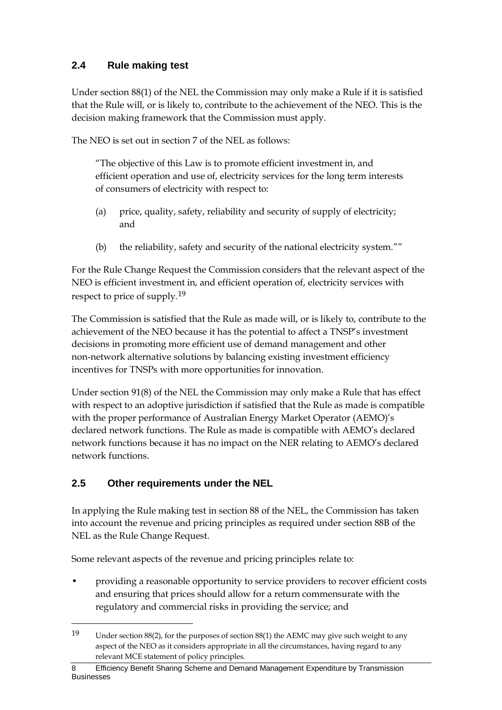## <span id="page-11-0"></span>**2.4 Rule making test**

Under section 88(1) of the NEL the Commission may only make a Rule if it is satisfied that the Rule will, or is likely to, contribute to the achievement of the NEO. This is the decision making framework that the Commission must apply.

The NEO is set out in section 7 of the NEL as follows:

"The objective of this Law is to promote efficient investment in, and efficient operation and use of, electricity services for the long term interests of consumers of electricity with respect to:

- (a) price, quality, safety, reliability and security of supply of electricity; and
- (b) the reliability, safety and security of the national electricity system.""

For the Rule Change Request the Commission considers that the relevant aspect of the NEO is efficient investment in, and efficient operation of, electricity services with respect to price of supply.[19](#page-11-2)

The Commission is satisfied that the Rule as made will, or is likely to, contribute to the achievement of the NEO because it has the potential to affect a TNSP's investment decisions in promoting more efficient use of demand management and other non-network alternative solutions by balancing existing investment efficiency incentives for TNSPs with more opportunities for innovation.

Under section 91(8) of the NEL the Commission may only make a Rule that has effect with respect to an adoptive jurisdiction if satisfied that the Rule as made is compatible with the proper performance of Australian Energy Market Operator (AEMO)'s declared network functions. The Rule as made is compatible with AEMO's declared network functions because it has no impact on the NER relating to AEMO's declared network functions.

## <span id="page-11-1"></span>**2.5 Other requirements under the NEL**

 $\overline{a}$ 

In applying the Rule making test in section 88 of the NEL, the Commission has taken into account the revenue and pricing principles as required under section 88B of the NEL as the Rule Change Request.

Some relevant aspects of the revenue and pricing principles relate to:

• providing a reasonable opportunity to service providers to recover efficient costs and ensuring that prices should allow for a return commensurate with the regulatory and commercial risks in providing the service; and

<span id="page-11-2"></span><sup>19</sup> Under section 88(2), for the purposes of section 88(1) the AEMC may give such weight to any aspect of the NEO as it considers appropriate in all the circumstances, having regard to any relevant MCE statement of policy principles.

<sup>8</sup> Efficiency Benefit Sharing Scheme and Demand Management Expenditure by Transmission Businesses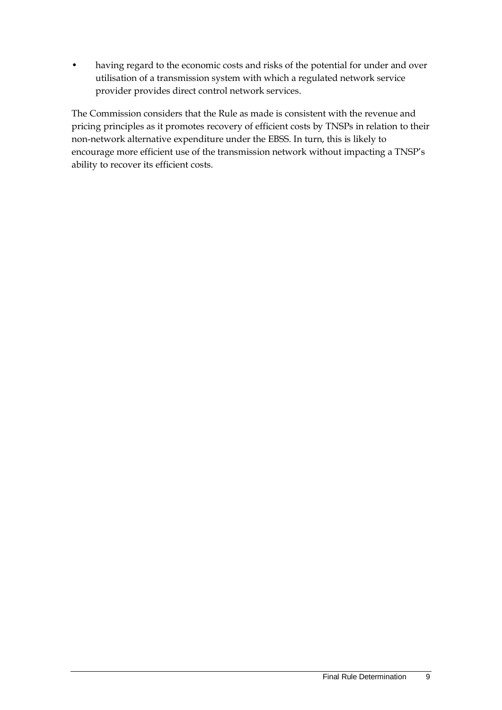having regard to the economic costs and risks of the potential for under and over utilisation of a transmission system with which a regulated network service provider provides direct control network services.

The Commission considers that the Rule as made is consistent with the revenue and pricing principles as it promotes recovery of efficient costs by TNSPs in relation to their non-network alternative expenditure under the EBSS. In turn, this is likely to encourage more efficient use of the transmission network without impacting a TNSP's ability to recover its efficient costs.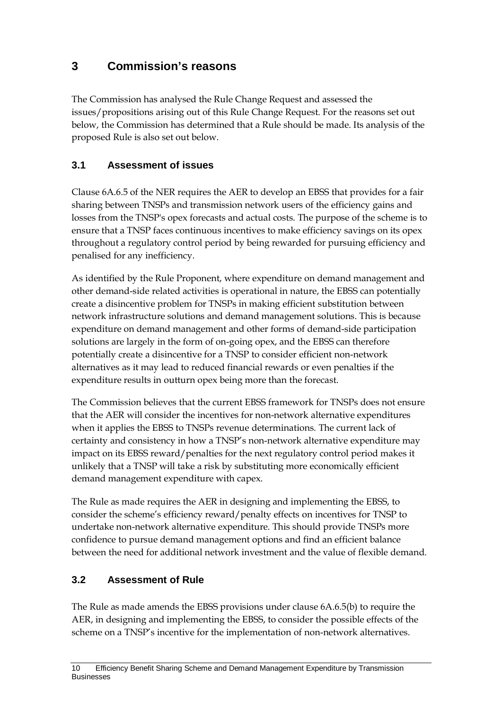## <span id="page-13-0"></span>**3 Commission's reasons**

The Commission has analysed the Rule Change Request and assessed the issues/propositions arising out of this Rule Change Request. For the reasons set out below, the Commission has determined that a Rule should be made. Its analysis of the proposed Rule is also set out below.

## <span id="page-13-1"></span>**3.1 Assessment of issues**

Clause 6A.6.5 of the NER requires the AER to develop an EBSS that provides for a fair sharing between TNSPs and transmission network users of the efficiency gains and losses from the TNSP's opex forecasts and actual costs. The purpose of the scheme is to ensure that a TNSP faces continuous incentives to make efficiency savings on its opex throughout a regulatory control period by being rewarded for pursuing efficiency and penalised for any inefficiency.

As identified by the Rule Proponent, where expenditure on demand management and other demand-side related activities is operational in nature, the EBSS can potentially create a disincentive problem for TNSPs in making efficient substitution between network infrastructure solutions and demand management solutions. This is because expenditure on demand management and other forms of demand-side participation solutions are largely in the form of on-going opex, and the EBSS can therefore potentially create a disincentive for a TNSP to consider efficient non-network alternatives as it may lead to reduced financial rewards or even penalties if the expenditure results in outturn opex being more than the forecast.

The Commission believes that the current EBSS framework for TNSPs does not ensure that the AER will consider the incentives for non-network alternative expenditures when it applies the EBSS to TNSPs revenue determinations. The current lack of certainty and consistency in how a TNSP's non-network alternative expenditure may impact on its EBSS reward/penalties for the next regulatory control period makes it unlikely that a TNSP will take a risk by substituting more economically efficient demand management expenditure with capex.

The Rule as made requires the AER in designing and implementing the EBSS, to consider the scheme's efficiency reward/penalty effects on incentives for TNSP to undertake non-network alternative expenditure. This should provide TNSPs more confidence to pursue demand management options and find an efficient balance between the need for additional network investment and the value of flexible demand.

### <span id="page-13-2"></span>**3.2 Assessment of Rule**

The Rule as made amends the EBSS provisions under clause 6A.6.5(b) to require the AER, in designing and implementing the EBSS, to consider the possible effects of the scheme on a TNSP's incentive for the implementation of non-network alternatives.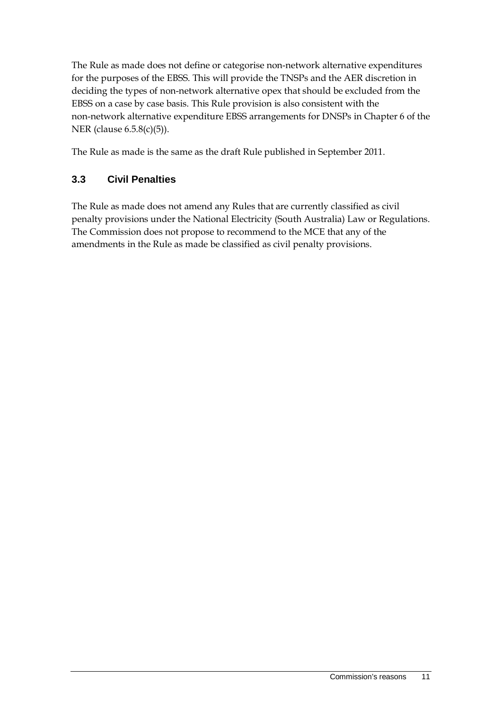The Rule as made does not define or categorise non-network alternative expenditures for the purposes of the EBSS. This will provide the TNSPs and the AER discretion in deciding the types of non-network alternative opex that should be excluded from the EBSS on a case by case basis. This Rule provision is also consistent with the non-network alternative expenditure EBSS arrangements for DNSPs in Chapter 6 of the NER (clause 6.5.8(c)(5)).

The Rule as made is the same as the draft Rule published in September 2011.

## <span id="page-14-0"></span>**3.3 Civil Penalties**

The Rule as made does not amend any Rules that are currently classified as civil penalty provisions under the National Electricity (South Australia) Law or Regulations. The Commission does not propose to recommend to the MCE that any of the amendments in the Rule as made be classified as civil penalty provisions.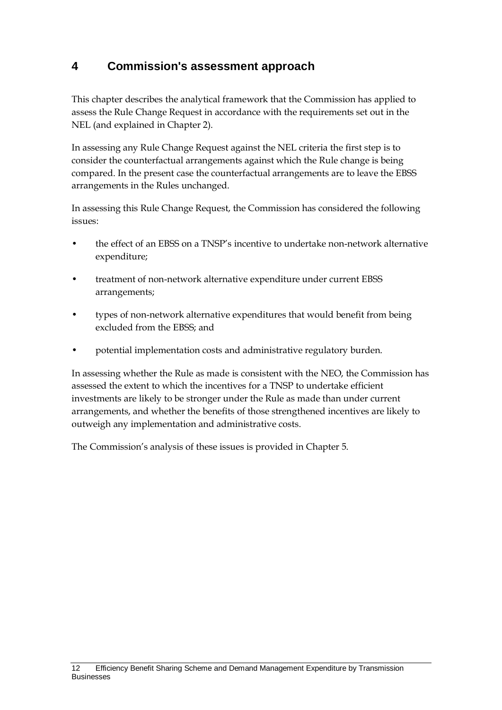## <span id="page-15-0"></span>**4 Commission's assessment approach**

This chapter describes the analytical framework that the Commission has applied to assess the Rule Change Request in accordance with the requirements set out in the NEL (and explained in Chapte[r 2\)](#page-9-0).

In assessing any Rule Change Request against the NEL criteria the first step is to consider the counterfactual arrangements against which the Rule change is being compared. In the present case the counterfactual arrangements are to leave the EBSS arrangements in the Rules unchanged.

In assessing this Rule Change Request, the Commission has considered the following issues:

- the effect of an EBSS on a TNSP's incentive to undertake non-network alternative expenditure;
- treatment of non-network alternative expenditure under current EBSS arrangements;
- types of non-network alternative expenditures that would benefit from being excluded from the EBSS; and
- potential implementation costs and administrative regulatory burden.

In assessing whether the Rule as made is consistent with the NEO, the Commission has assessed the extent to which the incentives for a TNSP to undertake efficient investments are likely to be stronger under the Rule as made than under current arrangements, and whether the benefits of those strengthened incentives are likely to outweigh any implementation and administrative costs.

The Commission's analysis of these issues is provided in Chapter 5.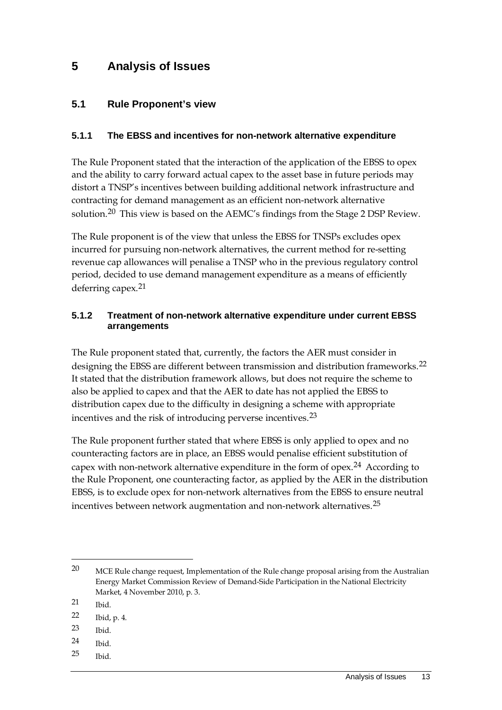## <span id="page-16-0"></span>**5 Analysis of Issues**

#### <span id="page-16-1"></span>**5.1 Rule Proponent's view**

#### **5.1.1 The EBSS and incentives for non-network alternative expenditure**

The Rule Proponent stated that the interaction of the application of the EBSS to opex and the ability to carry forward actual capex to the asset base in future periods may distort a TNSP's incentives between building additional network infrastructure and contracting for demand management as an efficient non-network alternative solution.[20](#page-16-2) This view is based on the AEMC's findings from the Stage 2 DSP Review.

The Rule proponent is of the view that unless the EBSS for TNSPs excludes opex incurred for pursuing non-network alternatives, the current method for re-setting revenue cap allowances will penalise a TNSP who in the previous regulatory control period, decided to use demand management expenditure as a means of efficiently deferring capex.[21](#page-16-3)

#### **5.1.2 Treatment of non-network alternative expenditure under current EBSS arrangements**

The Rule proponent stated that, currently, the factors the AER must consider in designing the EBSS are different between transmission and distribution frameworks.[22](#page-16-4) It stated that the distribution framework allows, but does not require the scheme to also be applied to capex and that the AER to date has not applied the EBSS to distribution capex due to the difficulty in designing a scheme with appropriate incentives and the risk of introducing perverse incentives.[23](#page-16-5)

The Rule proponent further stated that where EBSS is only applied to opex and no counteracting factors are in place, an EBSS would penalise efficient substitution of capex with non-network alternative expenditure in the form of opex.[24](#page-16-6) According to the Rule Proponent, one counteracting factor, as applied by the AER in the distribution EBSS, is to exclude opex for non-network alternatives from the EBSS to ensure neutral incentives between network augmentation and non-network alternatives.[25](#page-16-7)

- <span id="page-16-5"></span>23 Ibid.
- <span id="page-16-6"></span>24 Ibid.
- <span id="page-16-7"></span>25 Ibid.

<span id="page-16-2"></span><sup>20</sup> MCE Rule change request, Implementation of the Rule change proposal arising from the Australian Energy Market Commission Review of Demand-Side Participation in the National Electricity Market, 4 November 2010, p. 3.

<span id="page-16-3"></span><sup>21</sup> Ibid.

<span id="page-16-4"></span><sup>22</sup> Ibid, p. 4.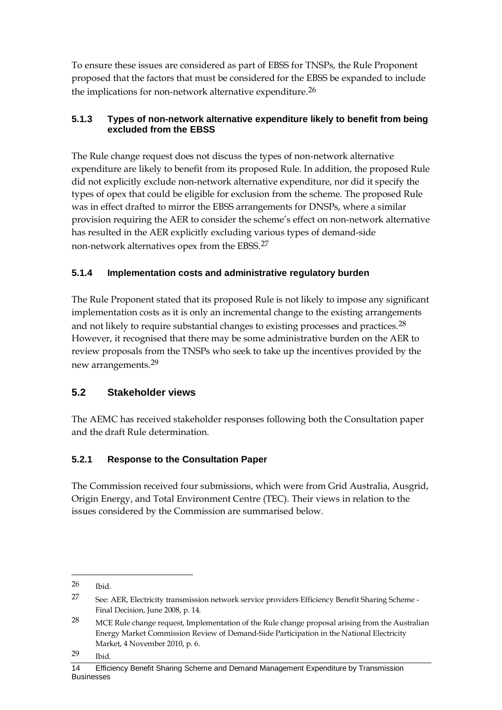To ensure these issues are considered as part of EBSS for TNSPs, the Rule Proponent proposed that the factors that must be considered for the EBSS be expanded to include the implications for non-network alternative expenditure.[26](#page-17-1)

#### **5.1.3 Types of non-network alternative expenditure likely to benefit from being excluded from the EBSS**

The Rule change request does not discuss the types of non-network alternative expenditure are likely to benefit from its proposed Rule. In addition, the proposed Rule did not explicitly exclude non-network alternative expenditure, nor did it specify the types of opex that could be eligible for exclusion from the scheme. The proposed Rule was in effect drafted to mirror the EBSS arrangements for DNSPs, where a similar provision requiring the AER to consider the scheme's effect on non-network alternative has resulted in the AER explicitly excluding various types of demand-side non-network alternatives opex from the EBSS.[27](#page-17-2)

### **5.1.4 Implementation costs and administrative regulatory burden**

The Rule Proponent stated that its proposed Rule is not likely to impose any significant implementation costs as it is only an incremental change to the existing arrangements and not likely to require substantial changes to existing processes and practices.[28](#page-17-3) However, it recognised that there may be some administrative burden on the AER to review proposals from the TNSPs who seek to take up the incentives provided by the new arrangements.[29](#page-17-4)

## <span id="page-17-0"></span>**5.2 Stakeholder views**

The AEMC has received stakeholder responses following both the Consultation paper and the draft Rule determination.

## **5.2.1 Response to the Consultation Paper**

The Commission received four submissions, which were from Grid Australia, Ausgrid, Origin Energy, and Total Environment Centre (TEC). Their views in relation to the issues considered by the Commission are summarised below.

<span id="page-17-1"></span><sup>26</sup> Ibid.

<span id="page-17-2"></span><sup>27</sup> See: AER, Electricity transmission network service providers Efficiency Benefit Sharing Scheme - Final Decision, June 2008, p. 14.

<span id="page-17-3"></span><sup>28</sup> MCE Rule change request, Implementation of the Rule change proposal arising from the Australian Energy Market Commission Review of Demand-Side Participation in the National Electricity Market, 4 November 2010, p. 6.

<span id="page-17-4"></span><sup>29</sup> Ibid.

<sup>14</sup> Efficiency Benefit Sharing Scheme and Demand Management Expenditure by Transmission Businesses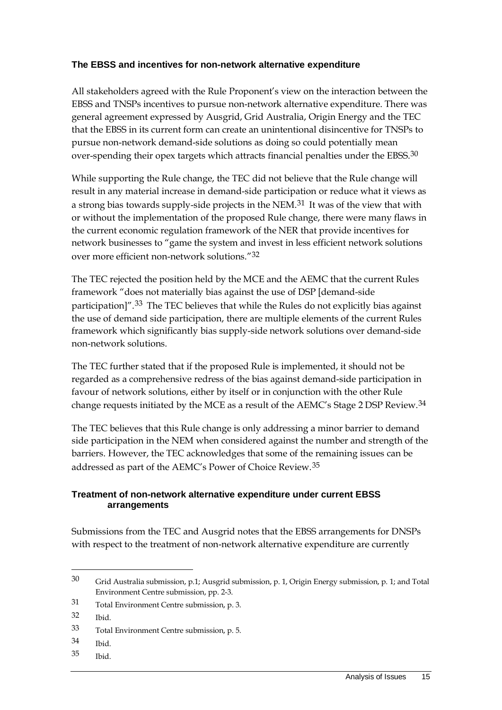#### **The EBSS and incentives for non-network alternative expenditure**

All stakeholders agreed with the Rule Proponent's view on the interaction between the EBSS and TNSPs incentives to pursue non-network alternative expenditure. There was general agreement expressed by Ausgrid, Grid Australia, Origin Energy and the TEC that the EBSS in its current form can create an unintentional disincentive for TNSPs to pursue non-network demand-side solutions as doing so could potentially mean over-spending their opex targets which attracts financial penalties under the EBSS.[30](#page-18-0)

While supporting the Rule change, the TEC did not believe that the Rule change will result in any material increase in demand-side participation or reduce what it views as a strong bias towards supply-side projects in the NEM.[31](#page-18-1) It was of the view that with or without the implementation of the proposed Rule change, there were many flaws in the current economic regulation framework of the NER that provide incentives for network businesses to "game the system and invest in less efficient network solutions over more efficient non-network solutions."[32](#page-18-2)

The TEC rejected the position held by the MCE and the AEMC that the current Rules framework "does not materially bias against the use of DSP [demand-side participation]".[33](#page-18-3) The TEC believes that while the Rules do not explicitly bias against the use of demand side participation, there are multiple elements of the current Rules framework which significantly bias supply-side network solutions over demand-side non-network solutions.

The TEC further stated that if the proposed Rule is implemented, it should not be regarded as a comprehensive redress of the bias against demand-side participation in favour of network solutions, either by itself or in conjunction with the other Rule change requests initiated by the MCE as a result of the AEMC's Stage 2 DSP Review.[34](#page-18-4)

The TEC believes that this Rule change is only addressing a minor barrier to demand side participation in the NEM when considered against the number and strength of the barriers. However, the TEC acknowledges that some of the remaining issues can be addressed as part of the AEMC's Power of Choice Review.[35](#page-18-5)

#### **Treatment of non-network alternative expenditure under current EBSS arrangements**

Submissions from the TEC and Ausgrid notes that the EBSS arrangements for DNSPs with respect to the treatment of non-network alternative expenditure are currently

 $\overline{a}$ 

<span id="page-18-5"></span>35 Ibid.

<span id="page-18-0"></span><sup>30</sup> Grid Australia submission, p.1; Ausgrid submission, p. 1, Origin Energy submission, p. 1; and Total Environment Centre submission, pp. 2-3.

<span id="page-18-1"></span><sup>31</sup> Total Environment Centre submission, p. 3.

<span id="page-18-2"></span><sup>32</sup> Ibid.

<span id="page-18-3"></span><sup>33</sup> Total Environment Centre submission, p. 5.

<span id="page-18-4"></span><sup>34</sup> Ibid.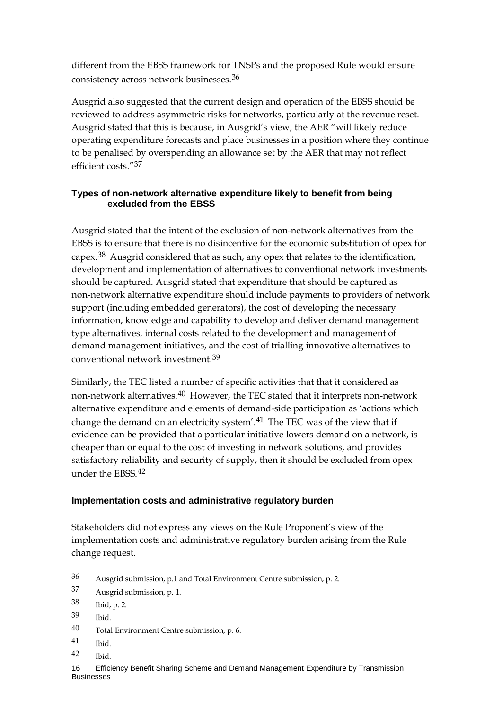different from the EBSS framework for TNSPs and the proposed Rule would ensure consistency across network businesses.[36](#page-19-0)

Ausgrid also suggested that the current design and operation of the EBSS should be reviewed to address asymmetric risks for networks, particularly at the revenue reset. Ausgrid stated that this is because, in Ausgrid's view, the AER "will likely reduce operating expenditure forecasts and place businesses in a position where they continue to be penalised by overspending an allowance set by the AER that may not reflect efficient costs."[37](#page-19-1)

#### **Types of non-network alternative expenditure likely to benefit from being excluded from the EBSS**

Ausgrid stated that the intent of the exclusion of non-network alternatives from the EBSS is to ensure that there is no disincentive for the economic substitution of opex for capex.[38](#page-19-2) Ausgrid considered that as such, any opex that relates to the identification, development and implementation of alternatives to conventional network investments should be captured. Ausgrid stated that expenditure that should be captured as non-network alternative expenditure should include payments to providers of network support (including embedded generators), the cost of developing the necessary information, knowledge and capability to develop and deliver demand management type alternatives, internal costs related to the development and management of demand management initiatives, and the cost of trialling innovative alternatives to conventional network investment.[39](#page-19-3)

Similarly, the TEC listed a number of specific activities that that it considered as non-network alternatives.[40](#page-19-4) However, the TEC stated that it interprets non-network alternative expenditure and elements of demand-side participation as 'actions which change the demand on an electricity system'.<sup>[41](#page-19-5)</sup> The TEC was of the view that if evidence can be provided that a particular initiative lowers demand on a network, is cheaper than or equal to the cost of investing in network solutions, and provides satisfactory reliability and security of supply, then it should be excluded from opex under the EBSS.[42](#page-19-6)

#### **Implementation costs and administrative regulatory burden**

Stakeholders did not express any views on the Rule Proponent's view of the implementation costs and administrative regulatory burden arising from the Rule change request.

- <span id="page-19-5"></span>41 Ibid.
- <span id="page-19-6"></span>42 Ibid.

<span id="page-19-0"></span><sup>36</sup> Ausgrid submission, p.1 and Total Environment Centre submission, p. 2.

<span id="page-19-1"></span><sup>37</sup> Ausgrid submission, p. 1.

<span id="page-19-2"></span><sup>38</sup> Ibid, p. 2.

<span id="page-19-3"></span><sup>39</sup> Ibid.

<span id="page-19-4"></span><sup>40</sup> Total Environment Centre submission, p. 6.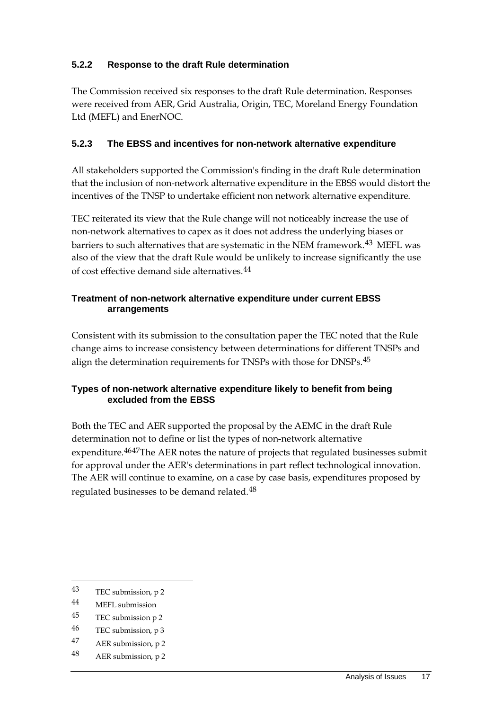#### **5.2.2 Response to the draft Rule determination**

The Commission received six responses to the draft Rule determination. Responses were received from AER, Grid Australia, Origin, TEC, Moreland Energy Foundation Ltd (MEFL) and EnerNOC.

#### **5.2.3 The EBSS and incentives for non-network alternative expenditure**

All stakeholders supported the Commission's finding in the draft Rule determination that the inclusion of non-network alternative expenditure in the EBSS would distort the incentives of the TNSP to undertake efficient non network alternative expenditure.

TEC reiterated its view that the Rule change will not noticeably increase the use of non-network alternatives to capex as it does not address the underlying biases or barriers to such alternatives that are systematic in the NEM framework.[43](#page-20-0) MEFL was also of the view that the draft Rule would be unlikely to increase significantly the use of cost effective demand side alternatives.[44](#page-20-1)

#### **Treatment of non-network alternative expenditure under current EBSS arrangements**

Consistent with its submission to the consultation paper the TEC noted that the Rule change aims to increase consistency between determinations for different TNSPs and align the determination requirements for TNSPs with those for DNSPs.[45](#page-20-2)

#### **Types of non-network alternative expenditure likely to benefit from being excluded from the EBSS**

Both the TEC and AER supported the proposal by the AEMC in the draft Rule determination not to define or list the types of non-network alternative expenditure.<sup>[46](#page-20-3)47</sup>The AER notes the nature of projects that regulated businesses submit for approval under the AER's determinations in part reflect technological innovation. The AER will continue to examine, on a case by case basis, expenditures proposed by regulated businesses to be demand related.[48](#page-20-5)

 $\overline{a}$ 

<span id="page-20-5"></span>48 AER submission, p 2

<span id="page-20-0"></span><sup>43</sup> TEC submission, p 2

<span id="page-20-1"></span><sup>44</sup> MEFL submission

<span id="page-20-2"></span><sup>45</sup> TEC submission p 2

<span id="page-20-3"></span><sup>46</sup> TEC submission, p 3

<span id="page-20-4"></span><sup>47</sup> AER submission, p 2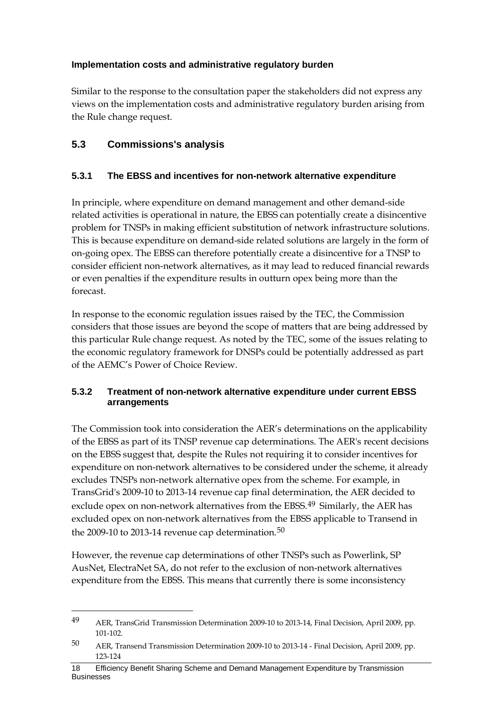#### **Implementation costs and administrative regulatory burden**

Similar to the response to the consultation paper the stakeholders did not express any views on the implementation costs and administrative regulatory burden arising from the Rule change request.

#### <span id="page-21-0"></span>**5.3 Commissions's analysis**

 $\overline{a}$ 

#### **5.3.1 The EBSS and incentives for non-network alternative expenditure**

In principle, where expenditure on demand management and other demand-side related activities is operational in nature, the EBSS can potentially create a disincentive problem for TNSPs in making efficient substitution of network infrastructure solutions. This is because expenditure on demand-side related solutions are largely in the form of on-going opex. The EBSS can therefore potentially create a disincentive for a TNSP to consider efficient non-network alternatives, as it may lead to reduced financial rewards or even penalties if the expenditure results in outturn opex being more than the forecast.

In response to the economic regulation issues raised by the TEC, the Commission considers that those issues are beyond the scope of matters that are being addressed by this particular Rule change request. As noted by the TEC, some of the issues relating to the economic regulatory framework for DNSPs could be potentially addressed as part of the AEMC's Power of Choice Review.

#### **5.3.2 Treatment of non-network alternative expenditure under current EBSS arrangements**

The Commission took into consideration the AER's determinations on the applicability of the EBSS as part of its TNSP revenue cap determinations. The AER's recent decisions on the EBSS suggest that, despite the Rules not requiring it to consider incentives for expenditure on non-network alternatives to be considered under the scheme, it already excludes TNSPs non-network alternative opex from the scheme. For example, in TransGrid's 2009-10 to 2013-14 revenue cap final determination, the AER decided to exclude opex on non-network alternatives from the EBSS.<sup>[49](#page-21-1)</sup> Similarly, the AER has excluded opex on non-network alternatives from the EBSS applicable to Transend in the 2009-10 to 2013-14 revenue cap determination.<sup>[50](#page-21-2)</sup>

However, the revenue cap determinations of other TNSPs such as Powerlink, SP AusNet, ElectraNet SA, do not refer to the exclusion of non-network alternatives expenditure from the EBSS. This means that currently there is some inconsistency

<span id="page-21-1"></span><sup>49</sup> AER, TransGrid Transmission Determination 2009-10 to 2013-14, Final Decision, April 2009, pp. 101-102.

<span id="page-21-2"></span><sup>50</sup> AER, Transend Transmission Determination 2009-10 to 2013-14 - Final Decision, April 2009, pp. 123-124

<sup>18</sup> Efficiency Benefit Sharing Scheme and Demand Management Expenditure by Transmission **Businesses**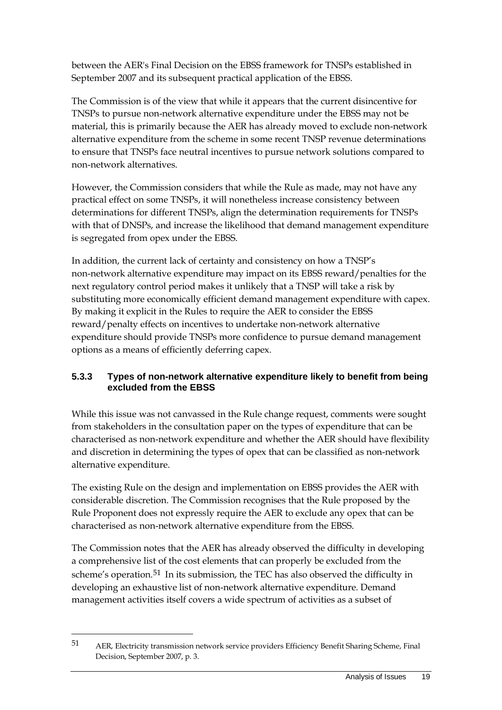between the AER's Final Decision on the EBSS framework for TNSPs established in September 2007 and its subsequent practical application of the EBSS.

The Commission is of the view that while it appears that the current disincentive for TNSPs to pursue non-network alternative expenditure under the EBSS may not be material, this is primarily because the AER has already moved to exclude non-network alternative expenditure from the scheme in some recent TNSP revenue determinations to ensure that TNSPs face neutral incentives to pursue network solutions compared to non-network alternatives.

However, the Commission considers that while the Rule as made, may not have any practical effect on some TNSPs, it will nonetheless increase consistency between determinations for different TNSPs, align the determination requirements for TNSPs with that of DNSPs, and increase the likelihood that demand management expenditure is segregated from opex under the EBSS.

In addition, the current lack of certainty and consistency on how a TNSP's non-network alternative expenditure may impact on its EBSS reward/penalties for the next regulatory control period makes it unlikely that a TNSP will take a risk by substituting more economically efficient demand management expenditure with capex. By making it explicit in the Rules to require the AER to consider the EBSS reward/penalty effects on incentives to undertake non-network alternative expenditure should provide TNSPs more confidence to pursue demand management options as a means of efficiently deferring capex.

#### **5.3.3 Types of non-network alternative expenditure likely to benefit from being excluded from the EBSS**

While this issue was not canvassed in the Rule change request, comments were sought from stakeholders in the consultation paper on the types of expenditure that can be characterised as non-network expenditure and whether the AER should have flexibility and discretion in determining the types of opex that can be classified as non-network alternative expenditure.

The existing Rule on the design and implementation on EBSS provides the AER with considerable discretion. The Commission recognises that the Rule proposed by the Rule Proponent does not expressly require the AER to exclude any opex that can be characterised as non-network alternative expenditure from the EBSS.

The Commission notes that the AER has already observed the difficulty in developing a comprehensive list of the cost elements that can properly be excluded from the scheme's operation.[51](#page-22-0) In its submission, the TEC has also observed the difficulty in developing an exhaustive list of non-network alternative expenditure. Demand management activities itself covers a wide spectrum of activities as a subset of

<span id="page-22-0"></span><sup>51</sup> AER, Electricity transmission network service providers Efficiency Benefit Sharing Scheme, Final Decision, September 2007, p. 3.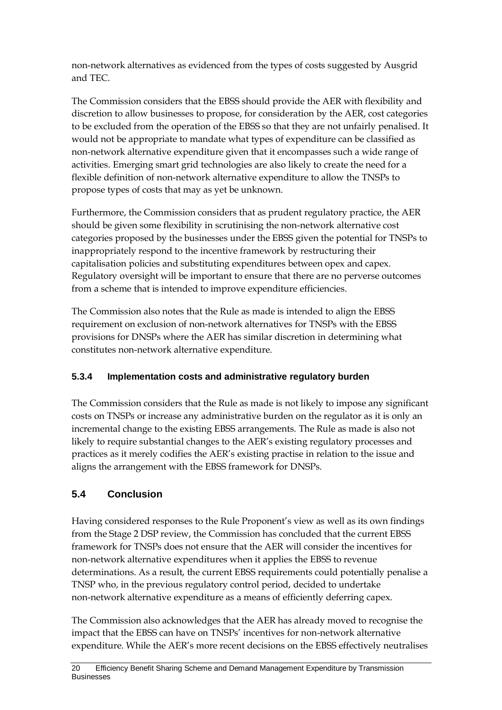non-network alternatives as evidenced from the types of costs suggested by Ausgrid and TEC.

The Commission considers that the EBSS should provide the AER with flexibility and discretion to allow businesses to propose, for consideration by the AER, cost categories to be excluded from the operation of the EBSS so that they are not unfairly penalised. It would not be appropriate to mandate what types of expenditure can be classified as non-network alternative expenditure given that it encompasses such a wide range of activities. Emerging smart grid technologies are also likely to create the need for a flexible definition of non-network alternative expenditure to allow the TNSPs to propose types of costs that may as yet be unknown.

Furthermore, the Commission considers that as prudent regulatory practice, the AER should be given some flexibility in scrutinising the non-network alternative cost categories proposed by the businesses under the EBSS given the potential for TNSPs to inappropriately respond to the incentive framework by restructuring their capitalisation policies and substituting expenditures between opex and capex. Regulatory oversight will be important to ensure that there are no perverse outcomes from a scheme that is intended to improve expenditure efficiencies.

The Commission also notes that the Rule as made is intended to align the EBSS requirement on exclusion of non-network alternatives for TNSPs with the EBSS provisions for DNSPs where the AER has similar discretion in determining what constitutes non-network alternative expenditure.

### **5.3.4 Implementation costs and administrative regulatory burden**

The Commission considers that the Rule as made is not likely to impose any significant costs on TNSPs or increase any administrative burden on the regulator as it is only an incremental change to the existing EBSS arrangements. The Rule as made is also not likely to require substantial changes to the AER's existing regulatory processes and practices as it merely codifies the AER's existing practise in relation to the issue and aligns the arrangement with the EBSS framework for DNSPs.

## <span id="page-23-0"></span>**5.4 Conclusion**

Having considered responses to the Rule Proponent's view as well as its own findings from the Stage 2 DSP review, the Commission has concluded that the current EBSS framework for TNSPs does not ensure that the AER will consider the incentives for non-network alternative expenditures when it applies the EBSS to revenue determinations. As a result, the current EBSS requirements could potentially penalise a TNSP who, in the previous regulatory control period, decided to undertake non-network alternative expenditure as a means of efficiently deferring capex.

The Commission also acknowledges that the AER has already moved to recognise the impact that the EBSS can have on TNSPs' incentives for non-network alternative expenditure. While the AER's more recent decisions on the EBSS effectively neutralises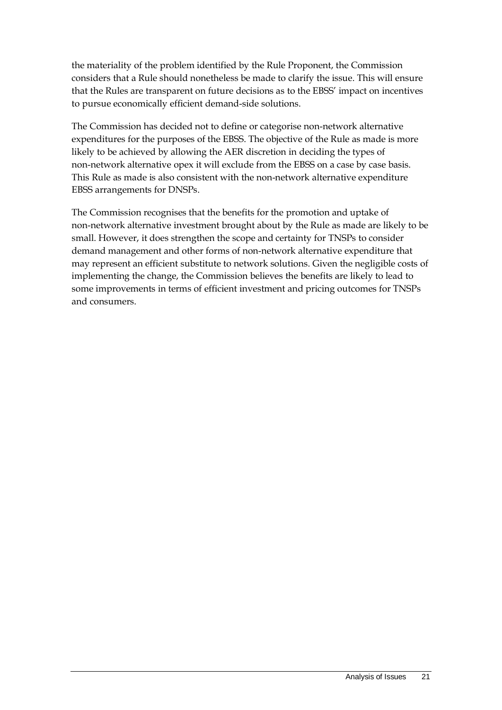the materiality of the problem identified by the Rule Proponent, the Commission considers that a Rule should nonetheless be made to clarify the issue. This will ensure that the Rules are transparent on future decisions as to the EBSS' impact on incentives to pursue economically efficient demand-side solutions.

The Commission has decided not to define or categorise non-network alternative expenditures for the purposes of the EBSS. The objective of the Rule as made is more likely to be achieved by allowing the AER discretion in deciding the types of non-network alternative opex it will exclude from the EBSS on a case by case basis. This Rule as made is also consistent with the non-network alternative expenditure EBSS arrangements for DNSPs.

The Commission recognises that the benefits for the promotion and uptake of non-network alternative investment brought about by the Rule as made are likely to be small. However, it does strengthen the scope and certainty for TNSPs to consider demand management and other forms of non-network alternative expenditure that may represent an efficient substitute to network solutions. Given the negligible costs of implementing the change, the Commission believes the benefits are likely to lead to some improvements in terms of efficient investment and pricing outcomes for TNSPs and consumers.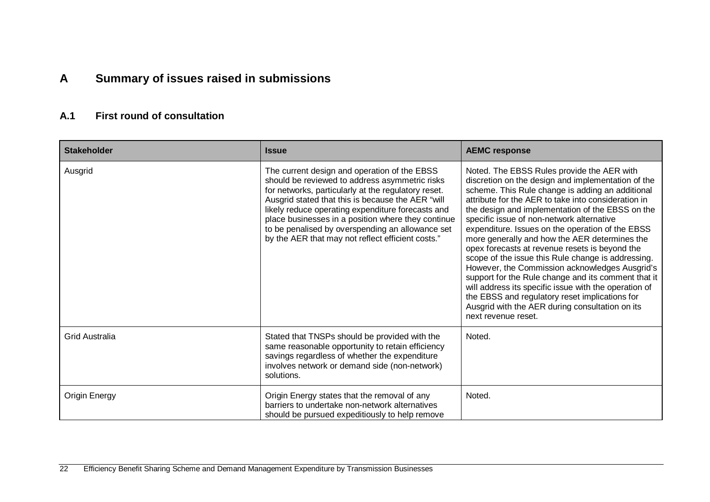## **A Summary of issues raised in submissions**

### **A.1 First round of consultation**

<span id="page-25-1"></span><span id="page-25-0"></span>

| <b>Stakeholder</b>    | <b>Issue</b>                                                                                                                                                                                                                                                                                                                                                                                                                   | <b>AEMC response</b>                                                                                                                                                                                                                                                                                                                                                                                                                                                                                                                                                                                                                                                                                                                                                                                                    |
|-----------------------|--------------------------------------------------------------------------------------------------------------------------------------------------------------------------------------------------------------------------------------------------------------------------------------------------------------------------------------------------------------------------------------------------------------------------------|-------------------------------------------------------------------------------------------------------------------------------------------------------------------------------------------------------------------------------------------------------------------------------------------------------------------------------------------------------------------------------------------------------------------------------------------------------------------------------------------------------------------------------------------------------------------------------------------------------------------------------------------------------------------------------------------------------------------------------------------------------------------------------------------------------------------------|
| Ausgrid               | The current design and operation of the EBSS<br>should be reviewed to address asymmetric risks<br>for networks, particularly at the regulatory reset.<br>Ausgrid stated that this is because the AER "will<br>likely reduce operating expenditure forecasts and<br>place businesses in a position where they continue<br>to be penalised by overspending an allowance set<br>by the AER that may not reflect efficient costs." | Noted. The EBSS Rules provide the AER with<br>discretion on the design and implementation of the<br>scheme. This Rule change is adding an additional<br>attribute for the AER to take into consideration in<br>the design and implementation of the EBSS on the<br>specific issue of non-network alternative<br>expenditure. Issues on the operation of the EBSS<br>more generally and how the AER determines the<br>opex forecasts at revenue resets is beyond the<br>scope of the issue this Rule change is addressing.<br>However, the Commission acknowledges Ausgrid's<br>support for the Rule change and its comment that it<br>will address its specific issue with the operation of<br>the EBSS and regulatory reset implications for<br>Ausgrid with the AER during consultation on its<br>next revenue reset. |
| <b>Grid Australia</b> | Stated that TNSPs should be provided with the<br>same reasonable opportunity to retain efficiency<br>savings regardless of whether the expenditure<br>involves network or demand side (non-network)<br>solutions.                                                                                                                                                                                                              | Noted.                                                                                                                                                                                                                                                                                                                                                                                                                                                                                                                                                                                                                                                                                                                                                                                                                  |
| Origin Energy         | Origin Energy states that the removal of any<br>barriers to undertake non-network alternatives<br>should be pursued expeditiously to help remove                                                                                                                                                                                                                                                                               | Noted.                                                                                                                                                                                                                                                                                                                                                                                                                                                                                                                                                                                                                                                                                                                                                                                                                  |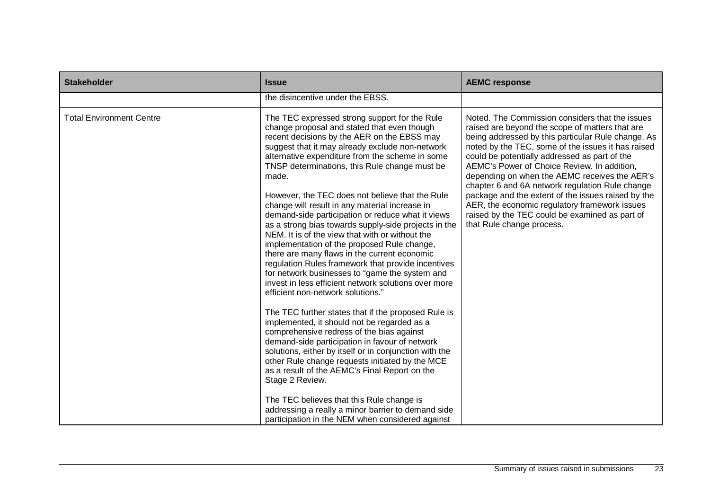| <b>Stakeholder</b>              | <b>Issue</b>                                                                                                                                                                                                                                                                                                                                                                                                                                                                                                                                                                                                                                                                                                                                                                                                                                                                                                                                                                                                                                                                                                                                                                                                                                                                                                                                                                  | <b>AEMC response</b>                                                                                                                                                                                                                                                                                                                                                                                                                                                                                                                                                                                     |
|---------------------------------|-------------------------------------------------------------------------------------------------------------------------------------------------------------------------------------------------------------------------------------------------------------------------------------------------------------------------------------------------------------------------------------------------------------------------------------------------------------------------------------------------------------------------------------------------------------------------------------------------------------------------------------------------------------------------------------------------------------------------------------------------------------------------------------------------------------------------------------------------------------------------------------------------------------------------------------------------------------------------------------------------------------------------------------------------------------------------------------------------------------------------------------------------------------------------------------------------------------------------------------------------------------------------------------------------------------------------------------------------------------------------------|----------------------------------------------------------------------------------------------------------------------------------------------------------------------------------------------------------------------------------------------------------------------------------------------------------------------------------------------------------------------------------------------------------------------------------------------------------------------------------------------------------------------------------------------------------------------------------------------------------|
|                                 | the disincentive under the EBSS.                                                                                                                                                                                                                                                                                                                                                                                                                                                                                                                                                                                                                                                                                                                                                                                                                                                                                                                                                                                                                                                                                                                                                                                                                                                                                                                                              |                                                                                                                                                                                                                                                                                                                                                                                                                                                                                                                                                                                                          |
| <b>Total Environment Centre</b> | The TEC expressed strong support for the Rule<br>change proposal and stated that even though<br>recent decisions by the AER on the EBSS may<br>suggest that it may already exclude non-network<br>alternative expenditure from the scheme in some<br>TNSP determinations, this Rule change must be<br>made.<br>However, the TEC does not believe that the Rule<br>change will result in any material increase in<br>demand-side participation or reduce what it views<br>as a strong bias towards supply-side projects in the<br>NEM. It is of the view that with or without the<br>implementation of the proposed Rule change,<br>there are many flaws in the current economic<br>regulation Rules framework that provide incentives<br>for network businesses to "game the system and<br>invest in less efficient network solutions over more<br>efficient non-network solutions."<br>The TEC further states that if the proposed Rule is<br>implemented, it should not be regarded as a<br>comprehensive redress of the bias against<br>demand-side participation in favour of network<br>solutions, either by itself or in conjunction with the<br>other Rule change requests initiated by the MCE<br>as a result of the AEMC's Final Report on the<br>Stage 2 Review.<br>The TEC believes that this Rule change is<br>addressing a really a minor barrier to demand side | Noted. The Commission considers that the issues<br>raised are beyond the scope of matters that are<br>being addressed by this particular Rule change. As<br>noted by the TEC, some of the issues it has raised<br>could be potentially addressed as part of the<br>AEMC's Power of Choice Review. In addition,<br>depending on when the AEMC receives the AER's<br>chapter 6 and 6A network regulation Rule change<br>package and the extent of the issues raised by the<br>AER, the economic regulatory framework issues<br>raised by the TEC could be examined as part of<br>that Rule change process. |
|                                 | participation in the NEM when considered against                                                                                                                                                                                                                                                                                                                                                                                                                                                                                                                                                                                                                                                                                                                                                                                                                                                                                                                                                                                                                                                                                                                                                                                                                                                                                                                              |                                                                                                                                                                                                                                                                                                                                                                                                                                                                                                                                                                                                          |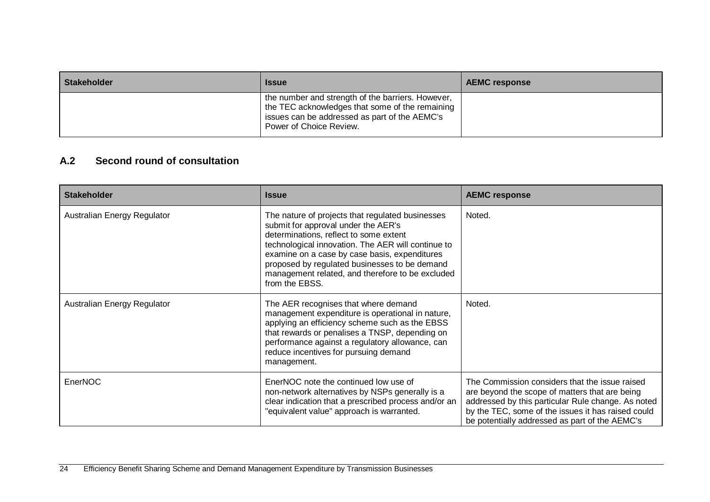| <b>Stakeholder</b> | <b>Issue</b>                                                                                                                                                                     | <b>AEMC response</b> |
|--------------------|----------------------------------------------------------------------------------------------------------------------------------------------------------------------------------|----------------------|
|                    | the number and strength of the barriers. However,<br>the TEC acknowledges that some of the remaining<br>issues can be addressed as part of the AEMC's<br>Power of Choice Review. |                      |

### **A.2 Second round of consultation**

<span id="page-27-0"></span>

| <b>Stakeholder</b>          | <b>Issue</b>                                                                                                                                                                                                                                                                                                                                                    | <b>AEMC response</b>                                                                                                                                                                                                                                           |  |
|-----------------------------|-----------------------------------------------------------------------------------------------------------------------------------------------------------------------------------------------------------------------------------------------------------------------------------------------------------------------------------------------------------------|----------------------------------------------------------------------------------------------------------------------------------------------------------------------------------------------------------------------------------------------------------------|--|
| Australian Energy Regulator | The nature of projects that regulated businesses<br>submit for approval under the AER's<br>determinations, reflect to some extent<br>technological innovation. The AER will continue to<br>examine on a case by case basis, expenditures<br>proposed by regulated businesses to be demand<br>management related, and therefore to be excluded<br>from the EBSS. | Noted.                                                                                                                                                                                                                                                         |  |
| Australian Energy Regulator | The AER recognises that where demand<br>management expenditure is operational in nature,<br>applying an efficiency scheme such as the EBSS<br>that rewards or penalises a TNSP, depending on<br>performance against a regulatory allowance, can<br>reduce incentives for pursuing demand<br>management.                                                         | Noted.                                                                                                                                                                                                                                                         |  |
| EnerNOC                     | EnerNOC note the continued low use of<br>non-network alternatives by NSPs generally is a<br>clear indication that a prescribed process and/or an<br>"equivalent value" approach is warranted.                                                                                                                                                                   | The Commission considers that the issue raised<br>are beyond the scope of matters that are being<br>addressed by this particular Rule change. As noted<br>by the TEC, some of the issues it has raised could<br>be potentially addressed as part of the AEMC's |  |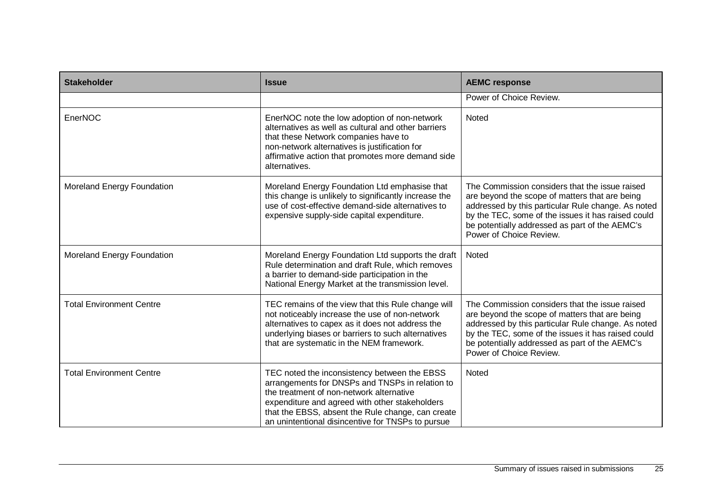| <b>Stakeholder</b>              | <b>Issue</b>                                                                                                                                                                                                                                                                                            | <b>AEMC response</b>                                                                                                                                                                                                                                                                      |
|---------------------------------|---------------------------------------------------------------------------------------------------------------------------------------------------------------------------------------------------------------------------------------------------------------------------------------------------------|-------------------------------------------------------------------------------------------------------------------------------------------------------------------------------------------------------------------------------------------------------------------------------------------|
|                                 |                                                                                                                                                                                                                                                                                                         | Power of Choice Review.                                                                                                                                                                                                                                                                   |
| EnerNOC                         | EnerNOC note the low adoption of non-network<br>alternatives as well as cultural and other barriers<br>that these Network companies have to<br>non-network alternatives is justification for<br>affirmative action that promotes more demand side<br>alternatives.                                      | Noted                                                                                                                                                                                                                                                                                     |
| Moreland Energy Foundation      | Moreland Energy Foundation Ltd emphasise that<br>this change is unlikely to significantly increase the<br>use of cost-effective demand-side alternatives to<br>expensive supply-side capital expenditure.                                                                                               | The Commission considers that the issue raised<br>are beyond the scope of matters that are being<br>addressed by this particular Rule change. As noted<br>by the TEC, some of the issues it has raised could<br>be potentially addressed as part of the AEMC's<br>Power of Choice Review. |
| Moreland Energy Foundation      | Moreland Energy Foundation Ltd supports the draft<br>Rule determination and draft Rule, which removes<br>a barrier to demand-side participation in the<br>National Energy Market at the transmission level.                                                                                             | Noted                                                                                                                                                                                                                                                                                     |
| <b>Total Environment Centre</b> | TEC remains of the view that this Rule change will<br>not noticeably increase the use of non-network<br>alternatives to capex as it does not address the<br>underlying biases or barriers to such alternatives<br>that are systematic in the NEM framework.                                             | The Commission considers that the issue raised<br>are beyond the scope of matters that are being<br>addressed by this particular Rule change. As noted<br>by the TEC, some of the issues it has raised could<br>be potentially addressed as part of the AEMC's<br>Power of Choice Review. |
| <b>Total Environment Centre</b> | TEC noted the inconsistency between the EBSS<br>arrangements for DNSPs and TNSPs in relation to<br>the treatment of non-network alternative<br>expenditure and agreed with other stakeholders<br>that the EBSS, absent the Rule change, can create<br>an unintentional disincentive for TNSPs to pursue | Noted                                                                                                                                                                                                                                                                                     |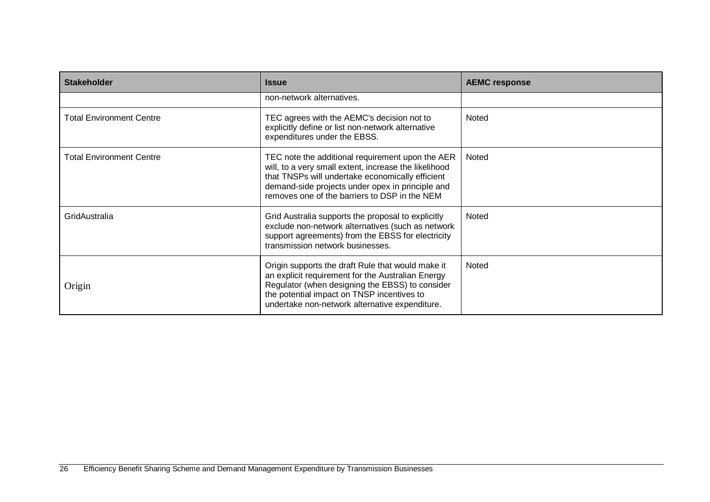| <b>Stakeholder</b>              | <b>Issue</b>                                                                                                                                                                                                                                                       | <b>AEMC response</b> |
|---------------------------------|--------------------------------------------------------------------------------------------------------------------------------------------------------------------------------------------------------------------------------------------------------------------|----------------------|
|                                 | non-network alternatives.                                                                                                                                                                                                                                          |                      |
| <b>Total Environment Centre</b> | TEC agrees with the AEMC's decision not to<br>explicitly define or list non-network alternative<br>expenditures under the EBSS.                                                                                                                                    | Noted                |
| <b>Total Environment Centre</b> | TEC note the additional requirement upon the AER<br>will, to a very small extent, increase the likelihood<br>that TNSPs will undertake economically efficient<br>demand-side projects under opex in principle and<br>removes one of the barriers to DSP in the NEM | Noted                |
| GridAustralia                   | Grid Australia supports the proposal to explicitly<br>exclude non-network alternatives (such as network<br>support agreements) from the EBSS for electricity<br>transmission network businesses.                                                                   | Noted                |
| Origin                          | Origin supports the draft Rule that would make it<br>an explicit requirement for the Australian Energy<br>Regulator (when designing the EBSS) to consider<br>the potential impact on TNSP incentives to<br>undertake non-network alternative expenditure.          | Noted                |